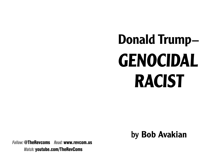# **Donald Trump– GENOCIDAL RACIST**

by **Bob Avakian**

*Follow:* **@TheRevcoms** *Read:* **www.revcom.us** *Watch:* **youtube.com/TheRevComs**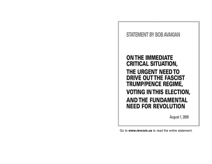### **STATEMENT BY BOB AVAKIAN**

### **ON THE IMMEDIATE CRITICAL SITUATION,** THE URGENT NEED TO **DRIVE OUT THE FASCIST TRUMP/PENCE REGIME, VOTING IN THIS ELECTION, AND THE FUNDAMENTAL NEED FOR REVOLUTION**

August 1, 2020

Go to **www.revcom.us** to read the entire statement.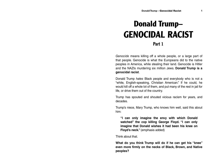### **Donald Trump– GENOCIDAL RACISTPart 1**

Genocide means killing off a whole people, or a large part of that people. Genocide is what the Europeans did to the native peoples in America, while stealing their land. Genocide is Hitler and the NAZIs murdering six million Jews. **Donald Trump is a genocidal racist**.

Donald Trump hates Black people and everybody who is not a "white, English-speaking, Christian American." If he could, he would kill off a whole lot of them, and put many of the rest in jail for life, or drive them out of the country.

Trump has spouted and shouted vicious racism for years, and decades.

Trump's niece, Mary Trump, who knows him well, said this about him:

**"I can only imagine the envy with which Donald watched" the cop killing George Floyd. "I can only imagine that Donald wishes it had been his knee on Floyd's neck."** (emphasis added)

Think about that.

**What do you think Trump will do if he can get his "knee" even more firmly on the necks of Black, Brown, and Native peoples?**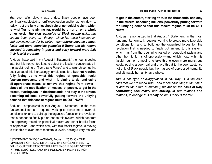Yes, even after slavery was ended, Black people have been continually subjected to horrific oppression and terror, right down to today—but **the fully unleashed rule of genocidal racism, which is what Trump is aiming for, would be a horror on a whole other level.** *The slow genocide of Black people* which has already been going on—through things like mass incarceration and continuing murder by police—*can quickly become a much faster and more complete genocide if Trump and his regime succeed in remaining in power and carry forward more fully their fascist program*.

And, as I have said in my August 1 Statement,\* the hour is getting late, but it is not yet too late, to defeat the fascism concentrated in the fascist regime of Trump (and Pence) and to wrench something positive out of this increasingly terrible situation. **But that requires fully facing up to what this regime of genocidal racist fascism represents and what it is aiming to do, and using all appropriate means to remove this regime from power above all the mobilization of masses of people, to get in the streets, starting** *now***, in the thousands, and stay in the streets, becoming millions, powerfully putting forward the unifying demand that this fascist regime must be OUT NOW!**

And, as I emphasized in that August 1 Statement, in the most fundamental terms, it requires working to create more favorable conditions for, and to build up the organized forces for, the revolution that is needed to finally put an end to this system, which has from the beginning rested on genocidal racism and other horrific forms of oppression—and which now, with this fascist regime, is moving to take this to even more monstrous levels, posing a very real and

\_\_\_\_\_\_\_\_\_\_\_\_\_\_

**to get in the streets, starting** *now***, in the thousands, and stay in the streets, becoming millions, powerfully putting forward the unifying demand that this fascist regime must be OUT NOW!**

And, as I emphasized in that August 1 Statement, in the most fundamental terms, it requires working to create more favorable conditions for, and to build up the organized forces for, the revolution that is needed to finally put an end to this system, which has from the beginning rested on genocidal racism and other horrific forms of oppression—and which now, with this fascist regime, is moving to take this to even more monstrous levels, posing a very real and grave threat to the very existence not only of Black people but the masses of oppressed humanity and ultimately humanity as a whole.

This is not hype or exaggeration in any way—it is the cold hard fact we are faced with—and it demands that, in the name of and for the future of humanity, we *act on the basis of fully confronting this reality and moving, in our millions and millions, to* **change** *this reality*, before it really is too late.

<sup>\*</sup> STATEMENT BY BOB AVAKIAN, August 1, 2020, ON THE IMMEDIATE CRITICAL SITUATION, THE URGENT NEED TO DRIVE OUT THE FASCIST TRUMP/PENCE REGIME, VOTING IN THIS ELECTION, AND THE FUNDAMENTAL NEED FOR REVOLUTION.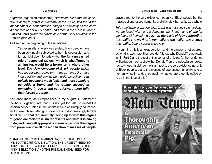pogroms (organized massacres). But when Hitler and the fascist NAZIs came to power in Germany in the 1930s, this led to the imprisonment in concentration camps of basically all the Jews in countries under NAZI control, and then to the mass murder of 6 million Jews (what the NAZIs called "the Final Solution" to the "Jewish problem").

As I said at the beginning of these articles:

Yes, even after slavery was ended, Black people have been continually subjected to horrific oppression and terror, right down to today—but **the fully unleashed rule of genocidal racism, which is what Trump is aiming for, would be a horror on a whole other level.** *The slow genocide of Black people* which has already been going on—through things like mass incarceration and continuing murder by police—*can quickly become a much faster and more complete genocide if Trump and his regime succeed in remaining in power and carry forward more fully their fascist program*.

And once more, as I emphasized in my August 1 Statement,\* the hour is getting late, but it is not yet too late, to defeat the fascism concentrated in the fascist regime of Trump (and Pence) and to wrench something positive out of this increasingly terrible situation. **But that requires fully facing up to what this regime of genocidal racist fascism represents and what it is aiming to do, and using all appropriate means to remove this regime from power—above all the mobilization of masses of people,** 

\_\_\_\_\_\_\_\_\_\_\_\_\_\_

grave threat to the very existence not only of Black people but the masses of oppressed humanity and ultimately humanity as a whole.

This is not hype or exaggeration in any way—it is the cold hard fact we are faced with—and it demands that, in the name of and for the future of humanity, we *act on the basis of fully confronting this reality and moving, in our millions and millions, to* **change** *this reality*, before it really is too late.

(If you think this is an exaggeration, and the danger is not as great as what is said here, then you don't know who Donald Trump really is. In Part 2 and the rest of this series of articles, further evidence will be brought out to show that Donald Trump is indeed a genocidal racist whose fascist regime is a threat to the very existence not only of Black people, but to the masses of oppressed humanity, and to humanity itself—and, once again, what we are urgently called on to do in the face of this.)



<sup>\*</sup> STATEMENT BY BOB AVAKIAN, August 1, 2020, ON THE IMMEDIATE CRITICAL SITUATION, THE URGENT NEED TO DRIVE OUT THE FASCIST TRUMP/PENCE REGIME, VOTING IN THIS ELECTION, AND THE FUNDAMENTAL NEED FOR REVOLUTION.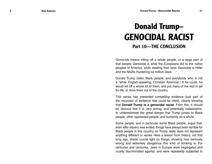# **Donald Trump– GENOCIDAL RACISTPart 10—THE CONCLUSION**

Genocide means killing off a whole people, or a large part of that people. Genocide is what the Europeans did to the native peoples in America, while stealing their land. Genocide is Hitler and the NAZIs murdering six million Jews.

Donald Trump hates Black people, and everybody who is not <sup>a</sup>"white English-speaking, Christian American." If he could, he would kill off a whole lot of them, and put many of the rest in jail for life, or drive them out of the country.

This series has presented compelling evidence (just part of the mountain of evidence that could be cited), clearly showing that **Donald Trump is a genocidal racist**. From this, it should be obvious that it is very wrong, and potentially catastrophic, to underestimate the great danger that Trump poses to Black people, other oppressed people, and humanity as a whole.

Some people, and in particular some Black people, argue that, even after slavery was ended, things have always been terrible for Black people in this country, so Trump really does not represent anything different or worse. Here a lesson from history, not that long ago, sheds crucial light on things, showing how seriously wrong and extremely dangerous this kind of thinking is. For centuries and centuries, Jews in Europe were segregated and cruelly discriminated against, and were repeatedly subjected to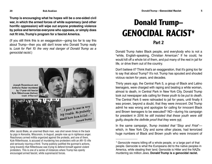**Trump is encouraging what he hopes will be a one-sided civil war, in which the armed forces of white supremacy (and other horrific oppression) will wipe out anyone protesting violence by police and terrorize everyone who opposes, or simply does not fit into, Trump's program for a fascist America.**

(If you still think this is an exaggeration—going too far to say this about Trump—then you still don't know who Donald Trump really is. Look for Part 10: the very real danger of Donald Trump as a genocidal racist.)



After Jacob Blake, an unarmed Black man, was shot seven times in the back by pigs in Kenosha, Wisconsin, in August, people rose up in righteous anger. Reactionary armed militia organized against the protests, and one of them, Kyle Rittenhouse, is accused of murdering two protesters with an AR-15 rifle and seriously injuring a third. Trump publicly justified the gunman's actions, lying brazenly that Rittenhouse was trying to defend himself against violent protesters. This is one of a series of instances where Trump has openly encouraged armed fascist, white supremacist forces.

### **Donald Trump– GENOCIDAL RACIST\*Part 2**

Donald Trump hates Black people, and everybody who is not a "white, English-speaking, Christian American." If he could, he would kill off a whole lot of them, and put many of the rest in jail for life, or drive them out of the country.

Don't believe it? Think that's an exaggeration, that it's going too far to say that about Trump? It's not. Trump has spouted and shouted vicious racism for years, and decades.

Thirty years ago, the Central Park 5, a group of Black and Latino teenagers, were charged with raping and beating a white woman, almost to death, in Central Park in New York City. Donald Trump took out newspaper ads calling for these youth to be put to death. The Central Park 5 were railroaded to jail for years, until finally it was proven, beyond a doubt, that they were innocent. Did Trump admit he was wrong and apologize for calling for innocent Black and Brown teenagers to be executed? NO—during his campaign for president in 2016 he still insisted that these youth were still guilty, despite the definite proof that they were not.

In the same campaign, Trump insisted that "Stop and Frisk" which, in New York City and some other places, had terrorized huge numbers of Black and Brown youth who were innocent of

\_\_\_\_\_\_\_\_\_\_\_\_\_\_\_\_\_\_\_\_\_\_

<sup>\*</sup> Genocide means killing off a whole people, or a large part of that people. Genocide is what the Europeans did to the native peoples in America, while stealing their land. Genocide is Hitler and the NAZIs murdering six million Jews. **Donald Trump is a genocidal racist.**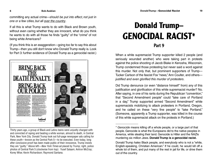**Bob Avakian**

committing any actual crime—should be put into effect, not just in one or a few cities, but all over the country.

If all this is what Trump wants to do with Black and Brown youth, without even caring whether they are innocent, what do you think he wants to do with all those he finds "guilty" of the "crime" of not being white Americans?

(If you think this is an exaggeration—going too far to say this about Trump—then you still don't know who Donald Trump really is. Look for Part 3: further evidence of Donald Trump as a genocidal racist.)



Thirty years ago, a group of Black and Latino teens were unjustly charged with and convicted of raping and beating a white woman, almost to death, in Central Park, New York City. Donald Trump took out full-page newspaper ads calling for these youth—known as the Central Park 5—to be executed. Even today, long after conclusive proof has been made public of their innocence, Trump insists they are "guilty." Above left—New York Times ad placed by Trump; right, police photos of Central Park 5 (clockwise from top): Yusef Salaam; Antron McCray; Korey Wise; Kevin Richardson; Raymond Santana.

### **Donald Trump– GENOCIDAL RACIST\*Part 9**

When a white supremacist Trump supporter killed 2 people (and seriously wounded another) who were taking part in protests against the police shooting of Jacob Blake in Kenosha, Wisconsin, Trump condemned those protesting but never said a word against this murder. Not only that, but prominent supporters of Trump— Tucker Carlson of the fascist Fox "news," Ann Coulter, and others justified and even glorified this murder of protesters.

Did Trump denounce (or even "distance himself" from) any of this justification and glorification of this white supremacist murder? No. After saying, in one of his rants during the Republican "convention," that "Second Amendment people" could "take care of Portland in a day," Trump supported armed "Second Amendment" white supremacists mobilizing to attack protesters in Portland, Oregon, and he called on these "very fine people" to "take Portland." (Someone, apparently a Trump supporter, was killed in the course of this white supremacist attack on the protests in Portland.)

**6**

<sup>\*</sup> Genocide means killing off a whole people, or a large part of that people. Genocide is what the Europeans did to the native peoples in America, while stealing their land. Genocide is Hitler and the NAZIs murdering six million Jews. **Donald Trump is a genocidal racist.**

Donald Trump hates Black people, and everybody who is not a "white, English-speaking, Christian American." If he could, he would kill off a whole lot of them, and put many of the rest in jail for life, or drive them out of the country.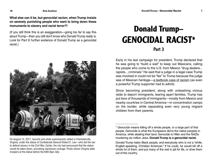**What else can it be, but** *genocidal racism***, when Trump insists on severely punishing people who want to bring down these monuments to slavery and racist terror?!**

(If you still think this is an exaggeration—going too far to say this about Trump—then you still don't know who Donald Trump really is. Look for Part 9: further evidence of Donald Trump as a genocidal racist.)



On August 12, 2017, fascists and white supremacists rallied in Charlotesville, Virginia, under the statue of Confederate General Robert E. Lee—who led the war to defend slavery in the Civil War. Earlier, the city had announced that the statue would be taken down, provoking reactionary outrage. Photo shows Virignia state troopers at the statue before the KKK-Nazi rally.

# **Donald Trump– GENOCIDAL RACIST\*Part 3**

Early in his last campaign for president, Trump declared that he was going to "build a wall" to keep out Mexicans, calling the people who come to the U.S. from Mexico "drug dealers... rapists... criminals." He said that a judge in a legal case Trump was involved in could not be "fair" to Trump because the judge was of Mexican heritage—a textbook case of racism (as even a powerful Trump supporter had to admit).

Since becoming president, along with unleashing vicious raids to deport immigrants, tearing apart families, Trump has put tens of thousands of immigrants—mostly from Mexico and nearby countries in Central America—in concentration camps on the border, while separating even very young migrant children from their parents.

<sup>\*</sup> Genocide means killing off a whole people, or a large part of that people. Genocide is what the Europeans did to the native peoples in America, while stealing their land. Genocide is Hitler and the NAZIs murdering six million Jews. **Donald Trump is a genocidal racist.**

Donald Trump hates Black people, and everybody who is not a "white, English-speaking, Christian American." If he could, he would kill off a whole lot of them, and put many of the rest in jail for life, or drive them out of the country.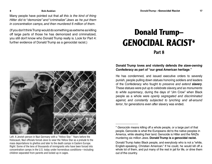#### **Donald Trump—Genocidal Racist 17**

#### **Bob Avakian**

Many people have pointed out that all this is the kind of thing Hitler did to "demonize" and "criminalize" Jews as he put them in concentration camps, and then murdered 6 million of them.

(If you don't think Trump would do something as extreme as killing off large parts of those he has demonized and criminalized, you still don't know who Donald Trump really is. Look for Part 4: further evidence of Donald Trump as a genocidal racist.)



Left: A Jewish person in Nazi Germany with a "Yellow Star." Years before the Holocaust, Nazi officials forced Jews to wear the Yellow Star as a prelude to the mass deportations to ghettos and later to the death camps in Eastern Europe. Right: Some of the tens of thousands of immigrants who have been forced into concentration camps in the U.S. today under horrendous conditions—including children separated from parents and locked up in cages.

### **Donald Trump– GENOCIDAL RACIST\*Part 8**

#### **Donald Trump loves and violently defends** *the slave-owning Confederacy* **as part of "our great American heritage**.**"**

He has condemned, and issued executive orders to severely punish, people pulling down statues honoring soldiers and leaders of the Confederacy who fought to preserve and extend *slavery*. These statues were put up to celebrate slavery, and as monuments to white supremacy, during the days of "Jim Crow" when Black people as a whole were openly segregated and discriminated against, and constantly subjected to lynching and all-around terror, for generations even after slavery was ended.

**8**

<sup>\*</sup> Genocide means killing off a whole people, or a large part of that people. Genocide is what the Europeans did to the native peoples in America, while stealing their land. Genocide is Hitler and the NAZIs murdering six million Jews. **Donald Trump is a genocidal racist.**

Donald Trump hates Black people, and everybody who is not a "white, English-speaking, Christian American." If he could, he would kill off a whole lot of them, and put many of the rest in jail for life, or drive them out of the country.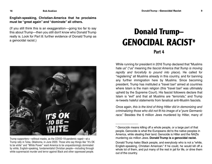**English-speaking, Christian-America that he proclaims must be "great again" and "dominate" all others.**

(If you still think this is an exaggeration—going too far to say this about Trump—then you still don't know who Donald Trump really is. Look for Part 8: further evidence of Donald Trump as a genocidal racist.)



Trump supporters—without masks, as the COVID-19 pandemic raged—at a Trump rally in Tulsa, Oklahoma, in June 2020. Those who say things like "It's OK to be white" and "White Power" want America to be unquestioningly dominated by white, English-speaking, fundamentalist Christian people—including through white supremacist murder and terror against Black and other oppressed people.

# **Donald Trump– GENOCIDAL RACIST\*Part 4**

While running for president in 2016 Trump declared that "Muslims hate us" ("us" meaning the fascist America that Trump is moving rapidly and forcefully to pound into place). He called for "registering" all Muslims already in this country, and for banning any further immigration here by Muslims. Since becoming president, Trump has instituted a "travel ban" aimed at countries where Islam is the main religion (this "travel ban" was ultimately upheld by the Supreme Court). His fascist followers declare that Islam is "evil" and that all Muslims are "terrorists," and Trump re-tweets hateful statements from fanatical anti-Muslim fascists.

Once again, this is the kind of thing Hitler did in demonizing and criminalizing those who did not fit his image of a "pure Germanic race." Besides the 6 million Jews murdered by Hitler, many of

<sup>\*</sup> Genocide means killing off a whole people, or a large part of that people. Genocide is what the Europeans did to the native peoples in America, while stealing their land. Genocide is Hitler and the NAZIs murdering six million Jews. **Donald Trump is a genocidal racist.**

Donald Trump hates Black people, and everybody who is not a "white, English-speaking, Christian American." If he could, he would kill off a whole lot of them, and put many of the rest in jail for life, or drive them out of the country.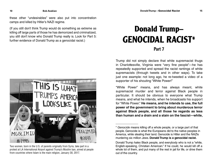these other "undesirables" were also put into concentration camps and killed by Hitler's NAZI regime.

(If you still don't think Trump would do something as extreme as killing off large parts of those he has demonized and criminalized, you still don't know who Donald Trump really is. Look for Part 5: further evidence of Donald Trump as a genocidal racist.)



Two women, born in the U.S. of parents originally from Syria, take part in a protest at LA International Airport against Trump's Muslim ban, aimed at people from countries where Islam is the main religion, January 30, 2017.

### **Donald Trump– GENOCIDAL RACIST\*Part 7**

Trump did not simply declare that white supremacist thugs in Charlottesville, Virginia were "very fine people"—he has repeatedly supported and spread the racist rantings of white supremacists (through tweets and in other ways). To take just one example: not long ago, he re-tweeted a video of a supporter of his shouting "White Power!"

"White Power" means, and has always meant, white supremacist murder and terror against Black people in particular. It should be obvious to everyone what Trump means, and what he intends, when he broadcasts his support for "White Power." **He means, and he intends to use, the full power of the government to bring about murderous terror against Black people, and all those he regards as less than human and a drain and a stain on the fascist—white,** 

<sup>\*</sup> Genocide means killing off a whole people, or a large part of that people. Genocide is what the Europeans did to the native peoples in America, while stealing their land. Genocide is Hitler and the NAZIs murdering six million Jews. **Donald Trump is a genocidal racist.**

Donald Trump hates Black people, and everybody who is not a "white, English-speaking, Christian American." If he could, he would kill off a whole lot of them, and put many of the rest in jail for life, or drive them out of the country.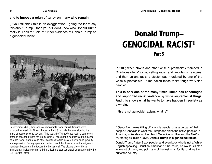#### **and to impose a reign of terror on many who remain**.

(If you still think this is an exaggeration—going too far to say this about Trump—then you still don't know who Donald Trump really is. Look for Part 7: further evidence of Donald Trump as a genocidal racist.)



In November 2018, thousands of immigrants from Central America were stranded for weeks in Tijuana because the U.S. was deliberately slowing the entry of people seeking asylum. (This year, the Trump/Pence regime completely stopped accepting these asylum seekers.) These people had traveled thousands of miles from Honduras and other countries to flee intolerable violence, poverty and repression. During a peaceful protest march by these stranded immigrants, hundreds began running toward the border wall. The picture shows these immigrants, including small children, fleeing a tear gas attack against them by the U.S. Border Patrol.

# **Donald Trump– GENOCIDAL RACIST\*Part 5**

In 2017, when NAZIs and other white supremacists marched in Charlottesville, Virginia, yelling racist and anti-Jewish slogans, and then an anti-racist protester was murdered by one of the white supremacists, Trump called these racist thugs "very fine" people."

**This is only one of the many times Trump has encouraged and supported racist violence by white supremacist thugs. And this shows what he wants to have happen in society as a whole.**

If this is not genocidal racism, what is?

**14**

<sup>\*</sup> Genocide means killing off a whole people, or a large part of that people. Genocide is what the Europeans did to the native peoples in America, while stealing their land. Genocide is Hitler and the NAZIs murdering six million Jews. **Donald Trump is a genocidal racist.**

Donald Trump hates Black people, and everybody who is not a "white, English-speaking, Christian American." If he could, he would kill off a whole lot of them, and put many of the rest in jail for life, or drive them out of the country.